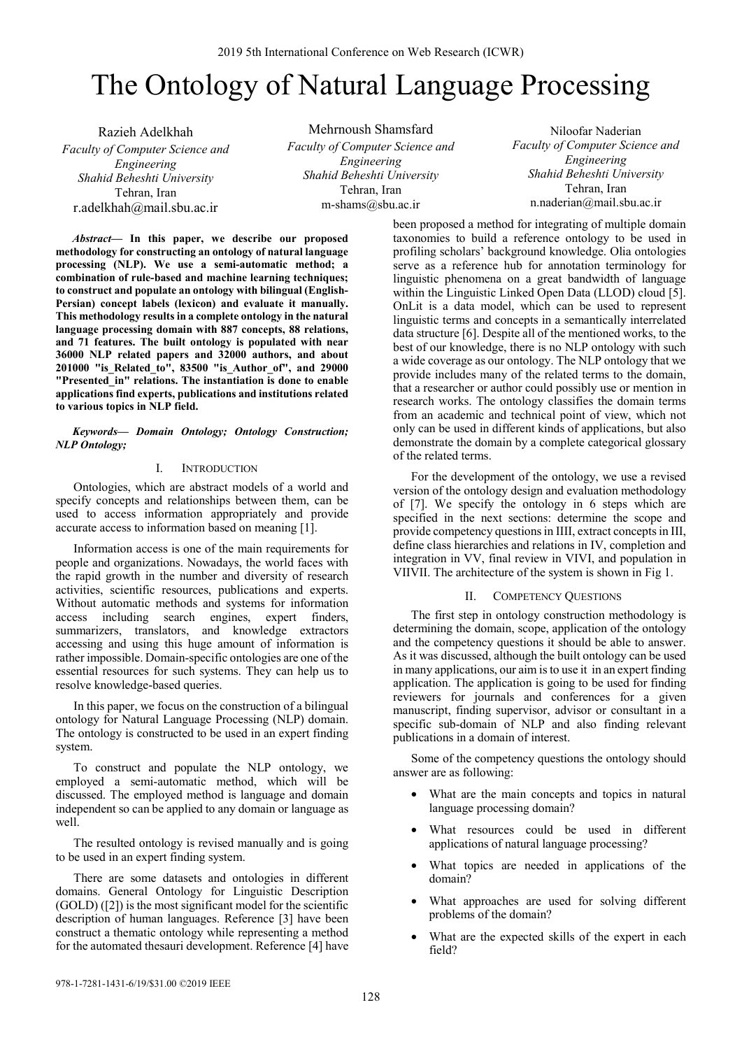# The Ontology of Natural Language Processing

Razieh Adelkhah *Faculty of Computer Science and Engineering Shahid Beheshti University*  Tehran, Iran r.adelkhah@mail.sbu.ac.ir

Mehrnoush Shamsfard *Faculty of Computer Science and Engineering Shahid Beheshti University*  Tehran, Iran m-shams@sbu.ac.ir

Niloofar Naderian *Faculty of Computer Science and Engineering Shahid Beheshti University*  Tehran, Iran n.naderian@mail.sbu.ac.ir

*Abstract***— In this paper, we describe our proposed methodology for constructing an ontology of natural language processing (NLP). We use a semi-automatic method; a combination of rule-based and machine learning techniques; to construct and populate an ontology with bilingual (English-Persian) concept labels (lexicon) and evaluate it manually. This methodology results in a complete ontology in the natural language processing domain with 887 concepts, 88 relations, and 71 features. The built ontology is populated with near 36000 NLP related papers and 32000 authors, and about 201000 "is\_Related\_to", 83500 "is\_Author\_of", and 29000 "Presented\_in" relations. The instantiation is done to enable applications find experts, publications and institutions related to various topics in NLP field.**

## *Keywords— Domain Ontology; Ontology Construction; NLP Ontology;*

# I. INTRODUCTION

Ontologies, which are abstract models of a world and specify concepts and relationships between them, can be used to access information appropriately and provide accurate access to information based on meaning [1].

Information access is one of the main requirements for people and organizations. Nowadays, the world faces with the rapid growth in the number and diversity of research activities, scientific resources, publications and experts. Without automatic methods and systems for information access including search engines, expert finders, summarizers, translators, and knowledge extractors accessing and using this huge amount of information is rather impossible. Domain-specific ontologies are one of the essential resources for such systems. They can help us to resolve knowledge-based queries.

In this paper, we focus on the construction of a bilingual ontology for Natural Language Processing (NLP) domain. The ontology is constructed to be used in an expert finding system.

To construct and populate the NLP ontology, we employed a semi-automatic method, which will be discussed. The employed method is language and domain independent so can be applied to any domain or language as well.

The resulted ontology is revised manually and is going to be used in an expert finding system.

There are some datasets and ontologies in different domains. General Ontology for Linguistic Description (GOLD) ([2]) is the most significant model for the scientific description of human languages. Reference [3] have been construct a thematic ontology while representing a method for the automated thesauri development. Reference [4] have been proposed a method for integrating of multiple domain taxonomies to build a reference ontology to be used in profiling scholars' background knowledge. Olia ontologies serve as a reference hub for annotation terminology for linguistic phenomena on a great bandwidth of language within the Linguistic Linked Open Data (LLOD) cloud [5]. OnLit is a data model, which can be used to represent linguistic terms and concepts in a semantically interrelated data structure [6]. Despite all of the mentioned works, to the best of our knowledge, there is no NLP ontology with such a wide coverage as our ontology. The NLP ontology that we provide includes many of the related terms to the domain, that a researcher or author could possibly use or mention in research works. The ontology classifies the domain terms from an academic and technical point of view, which not only can be used in different kinds of applications, but also demonstrate the domain by a complete categorical glossary of the related terms.

For the development of the ontology, we use a revised version of the ontology design and evaluation methodology of [7]. We specify the ontology in 6 steps which are specified in the next sections: determine the scope and provide competency questions in IIII, extract concepts in III, define class hierarchies and relations in IV, completion and integration in VV, final review in VIVI, and population in VIIVII. The architecture of the system is shown in Fig 1.

#### II. COMPETENCY QUESTIONS

The first step in ontology construction methodology is determining the domain, scope, application of the ontology and the competency questions it should be able to answer. As it was discussed, although the built ontology can be used in many applications, our aim is to use it in an expert finding application. The application is going to be used for finding reviewers for journals and conferences for a given manuscript, finding supervisor, advisor or consultant in a specific sub-domain of NLP and also finding relevant publications in a domain of interest.

Some of the competency questions the ontology should answer are as following:

- What are the main concepts and topics in natural language processing domain?
- What resources could be used in different applications of natural language processing?
- What topics are needed in applications of the domain?
- What approaches are used for solving different problems of the domain?
- What are the expected skills of the expert in each field?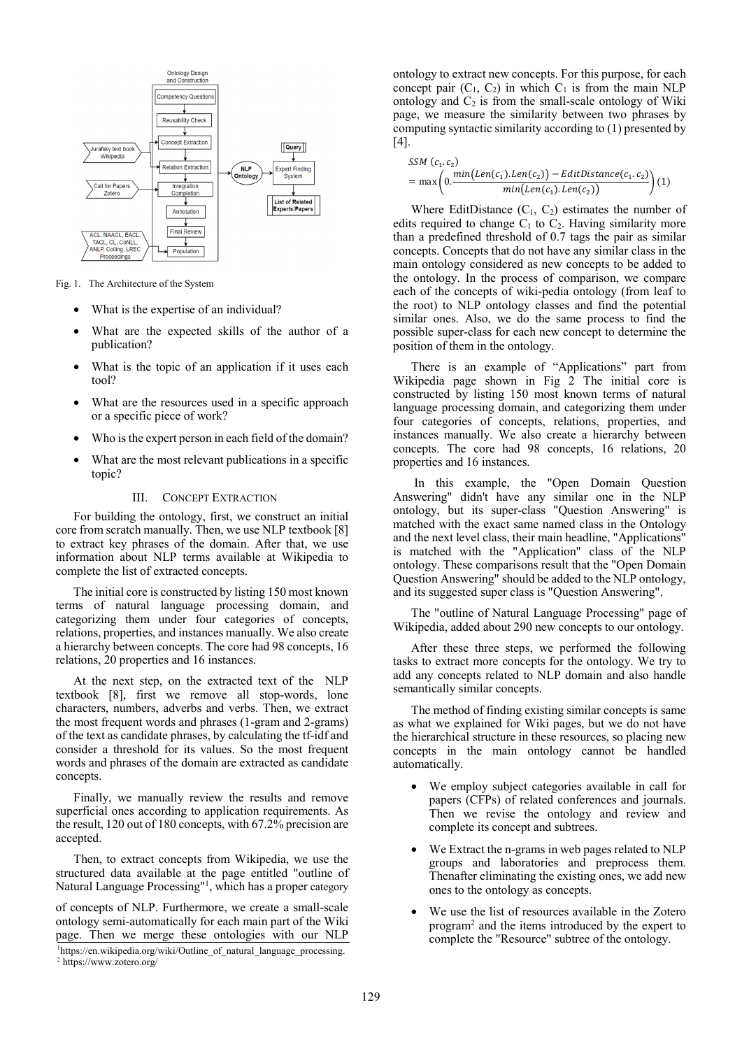

Fig. 1. The Architecture of the System

- What is the expertise of an individual?
- What are the expected skills of the author of a publication?
- What is the topic of an application if it uses each tool?
- What are the resources used in a specific approach or a specific piece of work?
- Who is the expert person in each field of the domain?
- What are the most relevant publications in a specific topic?

#### III. CONCEPT EXTRACTION

For building the ontology, first, we construct an initial core from scratch manually. Then, we use NLP textbook [8] to extract key phrases of the domain. After that, we use information about NLP terms available at Wikipedia to complete the list of extracted concepts.

The initial core is constructed by listing 150 most known terms of natural language processing domain, and categorizing them under four categories of concepts, relations, properties, and instances manually. We also create a hierarchy between concepts. The core had 98 concepts, 16 relations, 20 properties and 16 instances.

At the next step, on the extracted text of the NLP textbook [8], first we remove all stop-words, lone characters, numbers, adverbs and verbs. Then, we extract the most frequent words and phrases (1-gram and 2-grams) of the text as candidate phrases, by calculating the tf-idf and consider a threshold for its values. So the most frequent words and phrases of the domain are extracted as candidate concepts.

Finally, we manually review the results and remove superficial ones according to application requirements. As the result, 120 out of 180 concepts, with 67.2% precision are accepted.

Then, to extract concepts from Wikipedia, we use the structured data available at the page entitled "outline of Natural Language Processing"1 , which has a proper category

of concepts of NLP. Furthermore, we create a small-scale ontology semi-automatically for each main part of the Wiki page. Then we merge these ontologies with our NLP

ontology to extract new concepts. For this purpose, for each concept pair  $(C_1, C_2)$  in which  $C_1$  is from the main NLP ontology and  $C_2$  is from the small-scale ontology of Wiki page, we measure the similarity between two phrases by computing syntactic similarity according to (1) presented by [4].

$$
SSM (c_1.c_2)
$$
  
= max  $\left(0.\frac{min(Len(c_1).Len(c_2)) - EditDistance(c_1.c_2)}{min(Len(c_1).Len(c_2))}\right)$  (1)

Where EditDistance  $(C_1, C_2)$  estimates the number of edits required to change  $C_1$  to  $C_2$ . Having similarity more than a predefined threshold of 0.7 tags the pair as similar concepts. Concepts that do not have any similar class in the main ontology considered as new concepts to be added to the ontology. In the process of comparison, we compare each of the concepts of wiki-pedia ontology (from leaf to the root) to NLP ontology classes and find the potential similar ones. Also, we do the same process to find the possible super-class for each new concept to determine the position of them in the ontology.

There is an example of "Applications" part from Wikipedia page shown in Fig 2 The initial core is constructed by listing 150 most known terms of natural language processing domain, and categorizing them under four categories of concepts, relations, properties, and instances manually. We also create a hierarchy between concepts. The core had 98 concepts, 16 relations, 20 properties and 16 instances.

 In this example, the "Open Domain Question Answering" didn't have any similar one in the NLP ontology, but its super-class "Question Answering" is matched with the exact same named class in the Ontology and the next level class, their main headline, "Applications" is matched with the "Application" class of the NLP ontology. These comparisons result that the "Open Domain Question Answering" should be added to the NLP ontology, and its suggested super class is "Question Answering".

The "outline of Natural Language Processing" page of Wikipedia, added about 290 new concepts to our ontology.

After these three steps, we performed the following tasks to extract more concepts for the ontology. We try to add any concepts related to NLP domain and also handle semantically similar concepts.

The method of finding existing similar concepts is same as what we explained for Wiki pages, but we do not have the hierarchical structure in these resources, so placing new concepts in the main ontology cannot be handled automatically.

- We employ subject categories available in call for papers (CFPs) of related conferences and journals. Then we revise the ontology and review and complete its concept and subtrees.
- We Extract the n-grams in web pages related to NLP groups and laboratories and preprocess them. Thenafter eliminating the existing ones, we add new ones to the ontology as concepts.
- We use the list of resources available in the Zotero program2 and the items introduced by the expert to complete the "Resource" subtree of the ontology.

<sup>&</sup>lt;sup>1</sup>https://en.wikipedia.org/wiki/Outline\_of\_natural\_language\_processing. 2 https://www.zotero.org/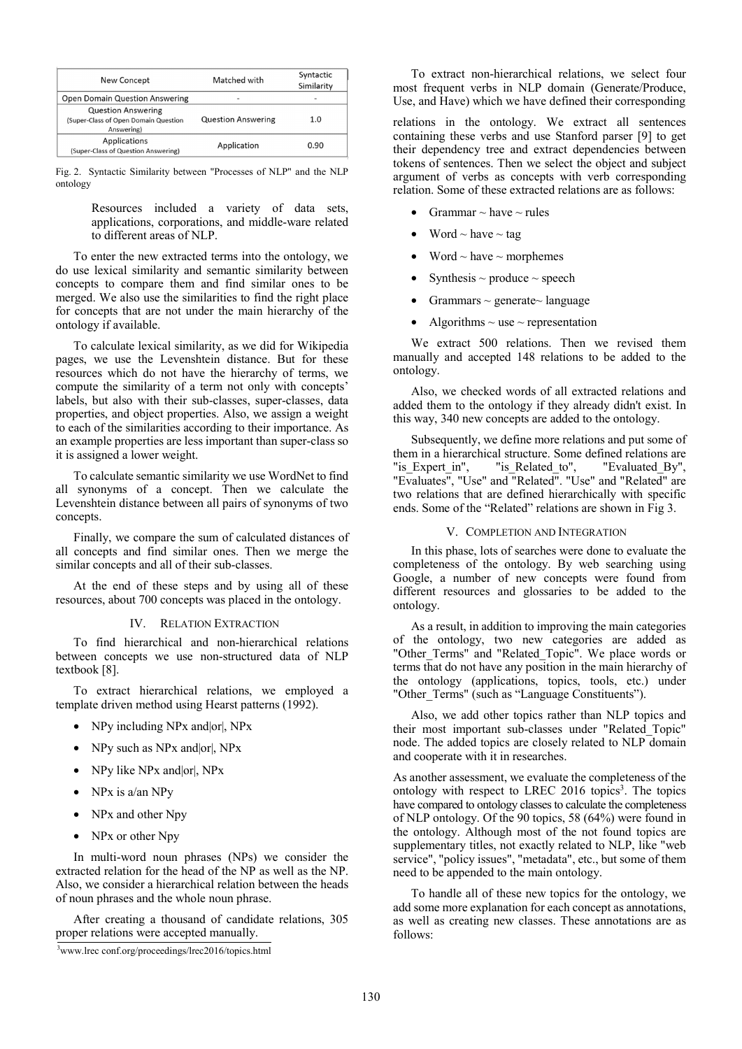| <b>New Concept</b>                                                              | Matched with              | Syntactic<br>Similarity |
|---------------------------------------------------------------------------------|---------------------------|-------------------------|
| <b>Open Domain Question Answering</b>                                           | $\overline{\phantom{a}}$  |                         |
| <b>Question Answering</b><br>(Super-Class of Open Domain Question<br>Answering) | <b>Question Answering</b> | 1.0                     |
| Applications<br>(Super-Class of Question Answering)                             | Application               | 0.90                    |

Fig. 2. Syntactic Similarity between "Processes of NLP" and the NLP ontology

> Resources included a variety of data sets, applications, corporations, and middle-ware related to different areas of NLP.

To enter the new extracted terms into the ontology, we do use lexical similarity and semantic similarity between concepts to compare them and find similar ones to be merged. We also use the similarities to find the right place for concepts that are not under the main hierarchy of the ontology if available.

To calculate lexical similarity, as we did for Wikipedia pages, we use the Levenshtein distance. But for these resources which do not have the hierarchy of terms, we compute the similarity of a term not only with concepts' labels, but also with their sub-classes, super-classes, data properties, and object properties. Also, we assign a weight to each of the similarities according to their importance. As an example properties are less important than super-class so it is assigned a lower weight.

To calculate semantic similarity we use WordNet to find all synonyms of a concept. Then we calculate the Levenshtein distance between all pairs of synonyms of two concepts.

Finally, we compare the sum of calculated distances of all concepts and find similar ones. Then we merge the similar concepts and all of their sub-classes.

At the end of these steps and by using all of these resources, about 700 concepts was placed in the ontology.

### IV. RELATION EXTRACTION

To find hierarchical and non-hierarchical relations between concepts we use non-structured data of NLP textbook [8].

To extract hierarchical relations, we employed a template driven method using Hearst patterns (1992).

- NPy including NPx and or, NPx
- NPy such as NPx and or, NPx
- NPy like NPx and |or|, NPx
- NPx is a/an NPy
- NPx and other Npy
- NPx or other Npy

In multi-word noun phrases (NPs) we consider the extracted relation for the head of the NP as well as the NP. Also, we consider a hierarchical relation between the heads of noun phrases and the whole noun phrase.

After creating a thousand of candidate relations, 305 proper relations were accepted manually. follows:<br>  $\frac{3 \text{m} \cdot \text{m}}{2 \text{m} \cdot \text{m}}$ 

To extract non-hierarchical relations, we select four most frequent verbs in NLP domain (Generate/Produce, Use, and Have) which we have defined their corresponding

relations in the ontology. We extract all sentences containing these verbs and use Stanford parser [9] to get their dependency tree and extract dependencies between tokens of sentences. Then we select the object and subject argument of verbs as concepts with verb corresponding relation. Some of these extracted relations are as follows:

- Grammar  $\sim$  have  $\sim$  rules
- Word  $\sim$  have  $\sim$  tag
- Word  $\sim$  have  $\sim$  morphemes
- Synthesis  $\sim$  produce  $\sim$  speech
- Grammars  $\sim$  generate $\sim$  language
- Algorithms  $\sim$  use  $\sim$  representation

We extract 500 relations. Then we revised them manually and accepted 148 relations to be added to the ontology.

Also, we checked words of all extracted relations and added them to the ontology if they already didn't exist. In this way, 340 new concepts are added to the ontology.

Subsequently, we define more relations and put some of them in a hierarchical structure. Some defined relations are "is Expert in", "is Related to", "Evaluated By", "Evaluates", "Use" and "Related". "Use" and "Related" are two relations that are defined hierarchically with specific ends. Some of the "Related" relations are shown in Fig 3.

#### V. COMPLETION AND INTEGRATION

In this phase, lots of searches were done to evaluate the completeness of the ontology. By web searching using Google, a number of new concepts were found from different resources and glossaries to be added to the ontology.

As a result, in addition to improving the main categories of the ontology, two new categories are added as "Other Terms" and "Related Topic". We place words or terms that do not have any position in the main hierarchy of the ontology (applications, topics, tools, etc.) under "Other Terms" (such as "Language Constituents").

Also, we add other topics rather than NLP topics and their most important sub-classes under "Related\_Topic" node. The added topics are closely related to NLP domain and cooperate with it in researches.

As another assessment, we evaluate the completeness of the ontology with respect to LREC 2016 topics<sup>3</sup>. The topics have compared to ontology classes to calculate the completeness of NLP ontology. Of the 90 topics, 58 (64%) were found in the ontology. Although most of the not found topics are supplementary titles, not exactly related to NLP, like "web service", "policy issues", "metadata", etc., but some of them need to be appended to the main ontology.

To handle all of these new topics for the ontology, we add some more explanation for each concept as annotations, as well as creating new classes. These annotations are as

www.lrec conf.org/proceedings/lrec2016/topics.html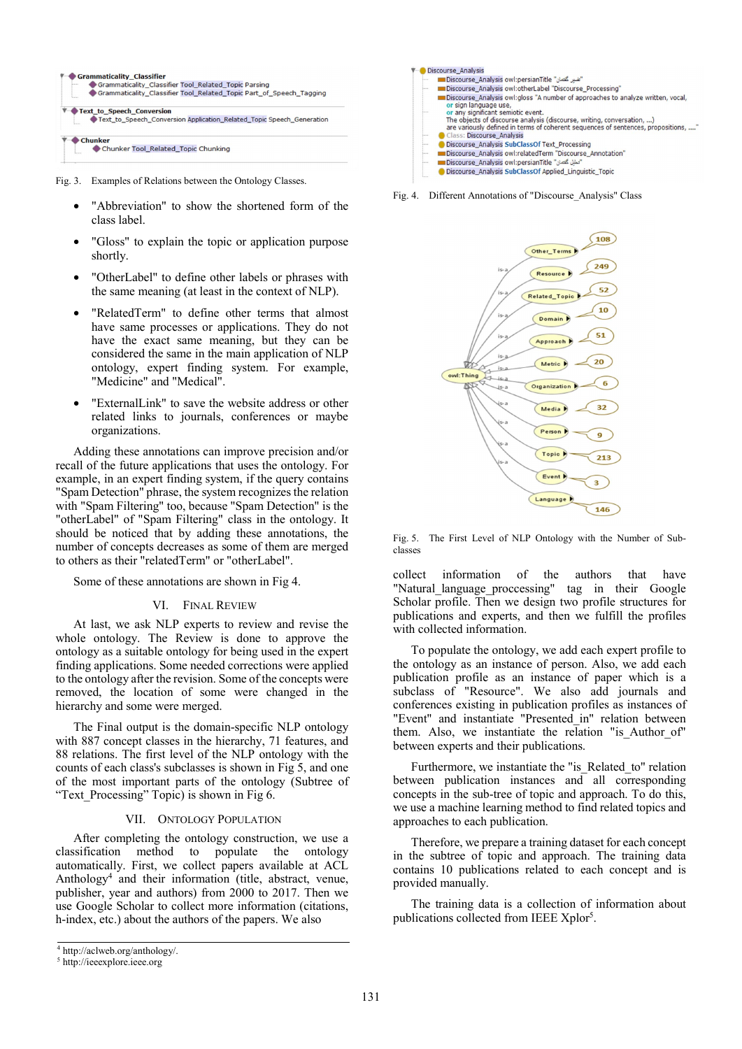

Fig. 3. Examples of Relations between the Ontology Classes.

- "Abbreviation" to show the shortened form of the class label.
- "Gloss" to explain the topic or application purpose shortly.
- "OtherLabel" to define other labels or phrases with the same meaning (at least in the context of NLP).
- "RelatedTerm" to define other terms that almost have same processes or applications. They do not have the exact same meaning, but they can be considered the same in the main application of NLP ontology, expert finding system. For example, "Medicine" and "Medical".
- "ExternalLink" to save the website address or other related links to journals, conferences or maybe organizations.

Adding these annotations can improve precision and/or recall of the future applications that uses the ontology. For example, in an expert finding system, if the query contains "Spam Detection" phrase, the system recognizes the relation with "Spam Filtering" too, because "Spam Detection" is the "otherLabel" of "Spam Filtering" class in the ontology. It should be noticed that by adding these annotations, the number of concepts decreases as some of them are merged to others as their "relatedTerm" or "otherLabel".

Some of these annotations are shown in Fig 4.

#### VI. FINAL REVIEW

At last, we ask NLP experts to review and revise the whole ontology. The Review is done to approve the ontology as a suitable ontology for being used in the expert finding applications. Some needed corrections were applied to the ontology after the revision. Some of the concepts were removed, the location of some were changed in the hierarchy and some were merged.

The Final output is the domain-specific NLP ontology with 887 concept classes in the hierarchy, 71 features, and 88 relations. The first level of the NLP ontology with the counts of each class's subclasses is shown in Fig 5, and one of the most important parts of the ontology (Subtree of "Text Processing" Topic) is shown in Fig 6.

### VII. ONTOLOGY POPULATION

After completing the ontology construction, we use a classification method to populate the ontology automatically. First, we collect papers available at ACL Anthology4 and their information (title, abstract, venue, publisher, year and authors) from 2000 to 2017. Then we use Google Scholar to collect more information (citations, h-index, etc.) about the authors of the papers. We also



Fig. 4. Different Annotations of "Discourse\_Analysis" Class



Fig. 5. The First Level of NLP Ontology with the Number of Subclasses

collect information of the authors that have "Natural language proccessing" tag in their Google Scholar profile. Then we design two profile structures for publications and experts, and then we fulfill the profiles with collected information.

To populate the ontology, we add each expert profile to the ontology as an instance of person. Also, we add each publication profile as an instance of paper which is a subclass of "Resource". We also add journals and conferences existing in publication profiles as instances of "Event" and instantiate "Presented\_in" relation between them. Also, we instantiate the relation "is\_Author\_of" between experts and their publications.

Furthermore, we instantiate the "is\_Related\_to" relation between publication instances and all corresponding concepts in the sub-tree of topic and approach. To do this, we use a machine learning method to find related topics and approaches to each publication.

Therefore, we prepare a training dataset for each concept in the subtree of topic and approach. The training data contains 10 publications related to each concept and is provided manually.

The training data is a collection of information about publications collected from IEEE Xplor<sup>5</sup>.

<sup>4</sup> http://aclweb.org/anthology/.

<sup>5</sup> http://ieeexplore.ieee.org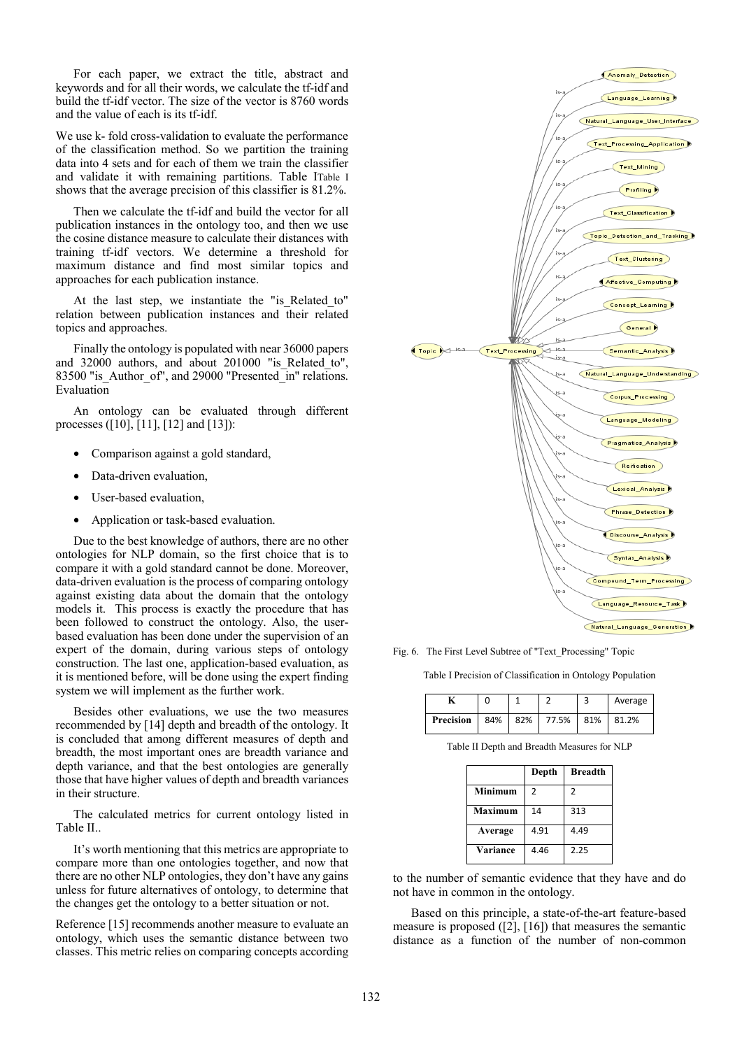For each paper, we extract the title, abstract and keywords and for all their words, we calculate the tf-idf and build the tf-idf vector. The size of the vector is 8760 words and the value of each is its tf-idf.

We use k- fold cross-validation to evaluate the performance of the classification method. So we partition the training data into 4 sets and for each of them we train the classifier and validate it with remaining partitions. Table ITable I shows that the average precision of this classifier is 81.2%.

Then we calculate the tf-idf and build the vector for all publication instances in the ontology too, and then we use the cosine distance measure to calculate their distances with training tf-idf vectors. We determine a threshold for maximum distance and find most similar topics and approaches for each publication instance.

At the last step, we instantiate the "is Related to" relation between publication instances and their related topics and approaches.

Finally the ontology is populated with near 36000 papers and 32000 authors, and about 201000 "is\_Related to", 83500 "is Author of", and 29000 "Presented\_in" relations. Evaluation

An ontology can be evaluated through different processes ([10], [11], [12] and [13]):

- Comparison against a gold standard,
- Data-driven evaluation,
- User-based evaluation,
- Application or task-based evaluation.

Due to the best knowledge of authors, there are no other ontologies for NLP domain, so the first choice that is to compare it with a gold standard cannot be done. Moreover, data-driven evaluation is the process of comparing ontology against existing data about the domain that the ontology models it. This process is exactly the procedure that has been followed to construct the ontology. Also, the userbased evaluation has been done under the supervision of an expert of the domain, during various steps of ontology construction. The last one, application-based evaluation, as it is mentioned before, will be done using the expert finding system we will implement as the further work.

Besides other evaluations, we use the two measures recommended by [14] depth and breadth of the ontology. It is concluded that among different measures of depth and breadth, the most important ones are breadth variance and depth variance, and that the best ontologies are generally those that have higher values of depth and breadth variances in their structure.

The calculated metrics for current ontology listed in Table II..

It's worth mentioning that this metrics are appropriate to compare more than one ontologies together, and now that there are no other NLP ontologies, they don't have any gains unless for future alternatives of ontology, to determine that the changes get the ontology to a better situation or not.

Reference [15] recommends another measure to evaluate an ontology, which uses the semantic distance between two classes. This metric relies on comparing concepts according



Fig. 6. The First Level Subtree of "Text\_Processing" Topic

Table I Precision of Classification in Ontology Population

|                  |  |                   | Average |
|------------------|--|-------------------|---------|
| <b>Precision</b> |  | 84% 82% 77.5% 81% | 81.2%   |

Table II Depth and Breadth Measures for NLP

|                | Depth | <b>Breadth</b> |
|----------------|-------|----------------|
| <b>Minimum</b> | 2     | $\overline{2}$ |
| Maximum        | 14    | 313            |
| Average        | 4.91  | 4.49           |
| Variance       | 4.46  | 2.25           |

to the number of semantic evidence that they have and do not have in common in the ontology.

Based on this principle, a state-of-the-art feature-based measure is proposed  $([2], [16])$  that measures the semantic distance as a function of the number of non-common